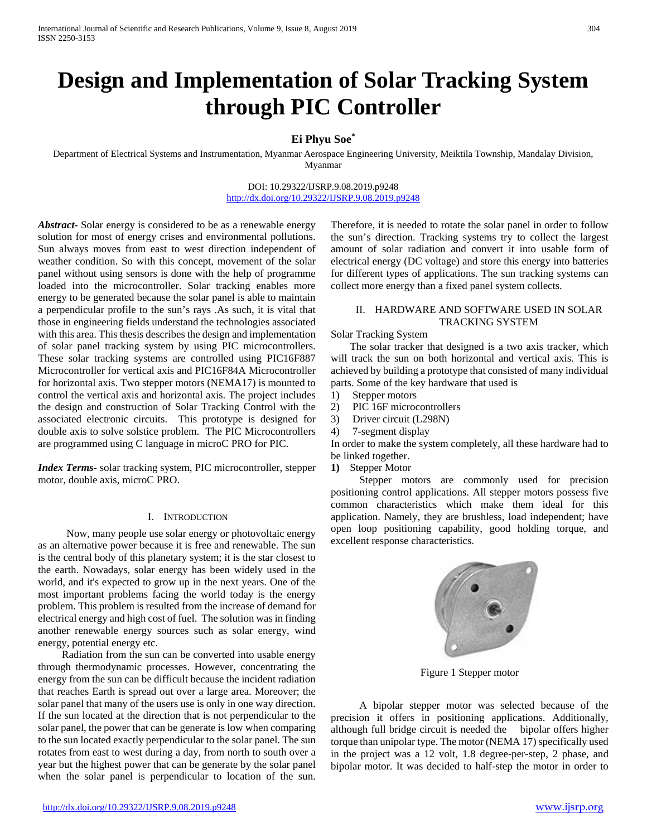# **Design and Implementation of Solar Tracking System through PIC Controller**

## **Ei Phyu Soe\***

Department of Electrical Systems and Instrumentation, Myanmar Aerospace Engineering University, Meiktila Township, Mandalay Division, Myanmar

> DOI: 10.29322/IJSRP.9.08.2019.p9248 <http://dx.doi.org/10.29322/IJSRP.9.08.2019.p9248>

*Abstract***-** Solar energy is considered to be as a renewable energy solution for most of energy crises and environmental pollutions. Sun always moves from east to west direction independent of weather condition. So with this concept, movement of the solar panel without using sensors is done with the help of programme loaded into the microcontroller. Solar tracking enables more energy to be generated because the solar panel is able to maintain a perpendicular profile to the sun's rays .As such, it is vital that those in engineering fields understand the technologies associated with this area. This thesis describes the design and implementation of solar panel tracking system by using PIC microcontrollers. These solar tracking systems are controlled using PIC16F887 Microcontroller for vertical axis and PIC16F84A Microcontroller for horizontal axis. Two stepper motors (NEMA17) is mounted to control the vertical axis and horizontal axis. The project includes the design and construction of Solar Tracking Control with the associated electronic circuits. This prototype is designed for double axis to solve solstice problem. The PIC Microcontrollers are programmed using C language in microC PRO for PIC.

*Index Terms*- solar tracking system, PIC microcontroller, stepper motor, double axis, microC PRO.

#### I. INTRODUCTION

Now, many people use solar energy or photovoltaic energy as an alternative power because it is free and renewable. The sun is the central body of this planetary system; it is the star closest to the earth. Nowadays, solar energy has been widely used in the world, and it's expected to grow up in the next years. One of the most important problems facing the world today is the energy problem. This problem is resulted from the increase of demand for electrical energy and high cost of fuel. The solution was in finding another renewable energy sources such as solar energy, wind energy, potential energy etc.

 Radiation from the sun can be converted into usable energy through thermodynamic processes. However, concentrating the energy from the sun can be difficult because the incident radiation that reaches Earth is spread out over a large area. Moreover; the solar panel that many of the users use is only in one way direction. If the sun located at the direction that is not perpendicular to the solar panel, the power that can be generate is low when comparing to the sun located exactly perpendicular to the solar panel. The sun rotates from east to west during a day, from north to south over a year but the highest power that can be generate by the solar panel when the solar panel is perpendicular to location of the sun.

Therefore, it is needed to rotate the solar panel in order to follow the sun's direction. Tracking systems try to collect the largest amount of solar radiation and convert it into usable form of electrical energy (DC voltage) and store this energy into batteries for different types of applications. The sun tracking systems can collect more energy than a fixed panel system collects.

#### II. HARDWARE AND SOFTWARE USED IN SOLAR TRACKING SYSTEM

#### Solar Tracking System

The solar tracker that designed is a two axis tracker, which will track the sun on both horizontal and vertical axis. This is achieved by building a prototype that consisted of many individual parts. Some of the key hardware that used is

- 1) Stepper motors
- 2) PIC 16F microcontrollers
- 3) Driver circuit (L298N)
- 4) 7-segment display

In order to make the system completely, all these hardware had to be linked together.

**1)** Stepper Motor

Stepper motors are commonly used for precision positioning control applications. All stepper motors possess five common characteristics which make them ideal for this application. Namely, they are brushless, load independent; have open loop positioning capability, good holding torque, and excellent response characteristics.

Figure 1 Stepper motor

A bipolar stepper motor was selected because of the precision it offers in positioning applications. Additionally, although full bridge circuit is needed the bipolar offers higher torque than unipolar type. The motor (NEMA 17) specifically used in the project was a 12 volt, 1.8 degree-per-step, 2 phase, and bipolar motor. It was decided to half-step the motor in order to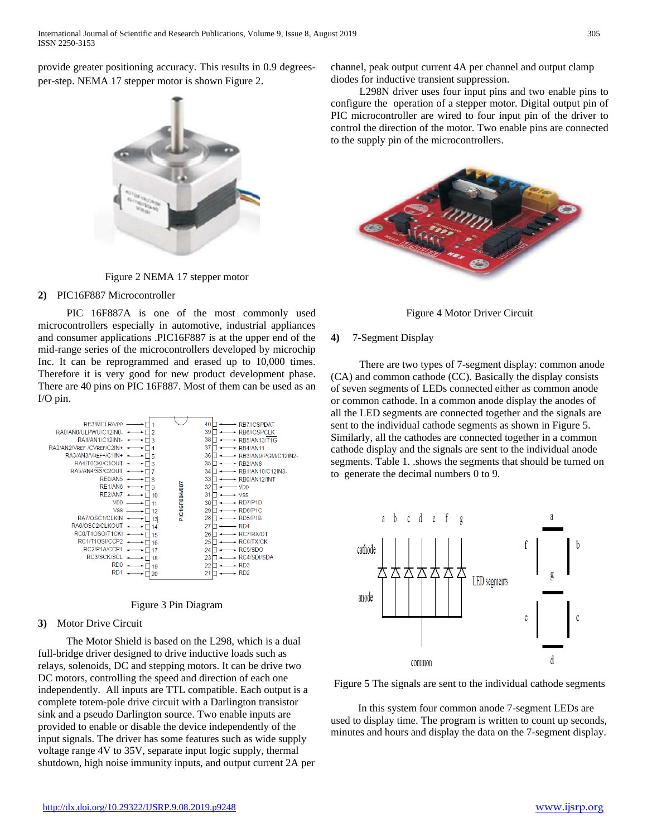provide greater positioning accuracy. This results in 0.9 degreesper-step. NEMA 17 stepper motor is shown Figure 2.



Figure 2 NEMA 17 stepper motor

#### **2)** PIC16F887 Microcontroller

PIC 16F887A is one of the most commonly used microcontrollers especially in automotive, industrial appliances and consumer applications .PIC16F887 is at the upper end of the mid-range series of the microcontrollers developed by microchip Inc. It can be reprogrammed and erased up to 10,000 times. Therefore it is very good for new product development phase. There are 40 pins on PIC 16F887. Most of them can be used as an I/O pin.





## **3)** Motor Drive Circuit

The Motor Shield is based on the L298, which is a dual full-bridge driver designed to drive inductive loads such as relays, solenoids, DC and stepping motors. It can be drive two DC motors, controlling the speed and direction of each one independently. All inputs are TTL compatible. Each output is a complete totem-pole drive circuit with a Darlington transistor sink and a pseudo Darlington source. Two enable inputs are provided to enable or disable the device independently of the input signals. The driver has some features such as wide supply voltage range 4V to 35V, separate input logic supply, thermal shutdown, high noise immunity inputs, and output current 2A per channel, peak output current 4A per channel and output clamp diodes for inductive transient suppression.

 L298N driver uses four input pins and two enable pins to configure the operation of a stepper motor. Digital output pin of PIC microcontroller are wired to four input pin of the driver to control the direction of the motor. Two enable pins are connected to the supply pin of the microcontrollers.





## **4)** 7-Segment Display

There are two types of 7-segment display: common anode (CA) and common cathode (CC). Basically the display consists of seven segments of LEDs connected either as common anode or common cathode. In a common anode display the anodes of all the LED segments are connected together and the signals are sent to the individual cathode segments as shown in Figure 5. Similarly, all the cathodes are connected together in a common cathode display and the signals are sent to the individual anode segments. Table 1. .shows the segments that should be turned on to generate the decimal numbers 0 to 9.



Figure 5 The signals are sent to the individual cathode segments

 In this system four common anode 7-segment LEDs are used to display time. The program is written to count up seconds, minutes and hours and display the data on the 7-segment display.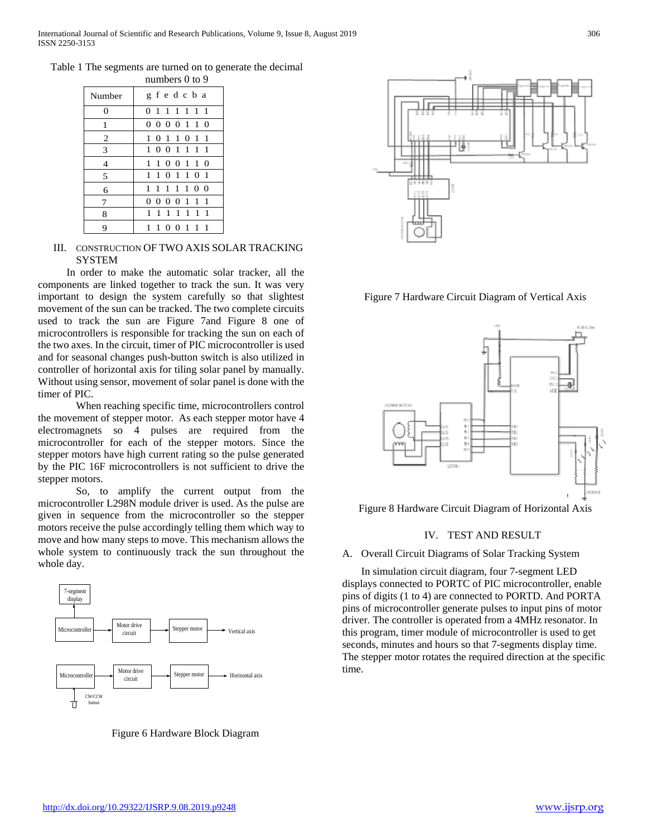| Table 1 The segments are turned on to generate the decimal |  |  |
|------------------------------------------------------------|--|--|
|                                                            |  |  |

|                | numbers $0$ to $9$ |  |  |  |  |  |
|----------------|--------------------|--|--|--|--|--|
| Number         | gfedcba            |  |  |  |  |  |
| $\theta$       | 0 1 1 1 1 1 1      |  |  |  |  |  |
| 1              | 0000110            |  |  |  |  |  |
| $\overline{2}$ | 1 0 1 1 0 1 1      |  |  |  |  |  |
| 3              | 1001111            |  |  |  |  |  |
| $\overline{4}$ | 1 1 0 0 1 1 0      |  |  |  |  |  |
| 5              | 1 1 0 1 1 0 1      |  |  |  |  |  |
| 6              | 1 1 1 1 1 0 0      |  |  |  |  |  |
| 7              | 0 0 0 0 1 1 1      |  |  |  |  |  |
| 8              | 1111111            |  |  |  |  |  |
| 9              | 100111<br>1.       |  |  |  |  |  |

#### III. CONSTRUCTION OF TWO AXIS SOLAR TRACKING **SYSTEM**

In order to make the automatic solar tracker, all the components are linked together to track the sun. It was very important to design the system carefully so that slightest movement of the sun can be tracked. The two complete circuits used to track the sun are Figure 7and Figure 8 one of microcontrollers is responsible for tracking the sun on each of the two axes. In the circuit, timer of PIC microcontroller is used and for seasonal changes push-button switch is also utilized in controller of horizontal axis for tiling solar panel by manually. Without using sensor, movement of solar panel is done with the timer of PIC.

When reaching specific time, microcontrollers control the movement of stepper motor. As each stepper motor have 4 electromagnets so 4 pulses are required from the microcontroller for each of the stepper motors. Since the stepper motors have high current rating so the pulse generated by the PIC 16F microcontrollers is not sufficient to drive the stepper motors.

So, to amplify the current output from the microcontroller L298N module driver is used. As the pulse are given in sequence from the microcontroller so the stepper motors receive the pulse accordingly telling them which way to move and how many steps to move. This mechanism allows the whole system to continuously track the sun throughout the whole day.



Figure 6 Hardware Block Diagram



Figure 7 Hardware Circuit Diagram of Vertical Axis



Figure 8 Hardware Circuit Diagram of Horizontal Axis

## IV. TEST AND RESULT

#### A. Overall Circuit Diagrams of Solar Tracking System

In simulation circuit diagram, four 7-segment LED displays connected to PORTC of PIC microcontroller, enable pins of digits (1 to 4) are connected to PORTD. And PORTA pins of microcontroller generate pulses to input pins of motor driver. The controller is operated from a 4MHz resonator. In this program, timer module of microcontroller is used to get seconds, minutes and hours so that 7-segments display time. The stepper motor rotates the required direction at the specific time.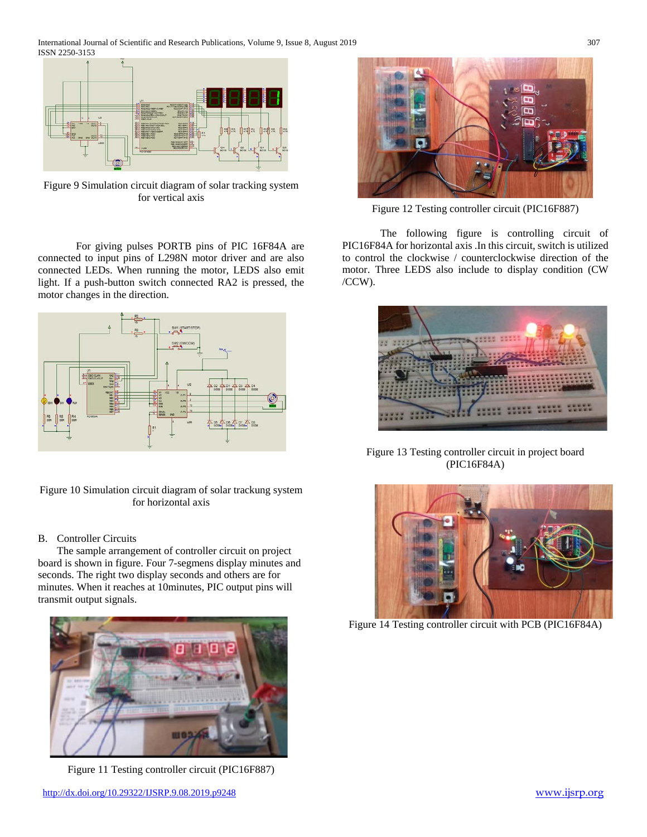

Figure 9 Simulation circuit diagram of solar tracking system for vertical axis

For giving pulses PORTB pins of PIC 16F84A are connected to input pins of L298N motor driver and are also connected LEDs. When running the motor, LEDS also emit light. If a push-button switch connected RA2 is pressed, the motor changes in the direction.



Figure 10 Simulation circuit diagram of solar trackung system for horizontal axis

## B. Controller Circuits

The sample arrangement of controller circuit on project board is shown in figure. Four 7-segmens display minutes and seconds. The right two display seconds and others are for minutes. When it reaches at 10minutes, PIC output pins will transmit output signals.



Figure 11 Testing controller circuit (PIC16F887)



Figure 12 Testing controller circuit (PIC16F887)

The following figure is controlling circuit of PIC16F84A for horizontal axis .In this circuit, switch is utilized to control the clockwise / counterclockwise direction of the motor. Three LEDS also include to display condition (CW /CCW).



Figure 13 Testing controller circuit in project board (PIC16F84A)



Figure 14 Testing controller circuit with PCB (PIC16F84A)